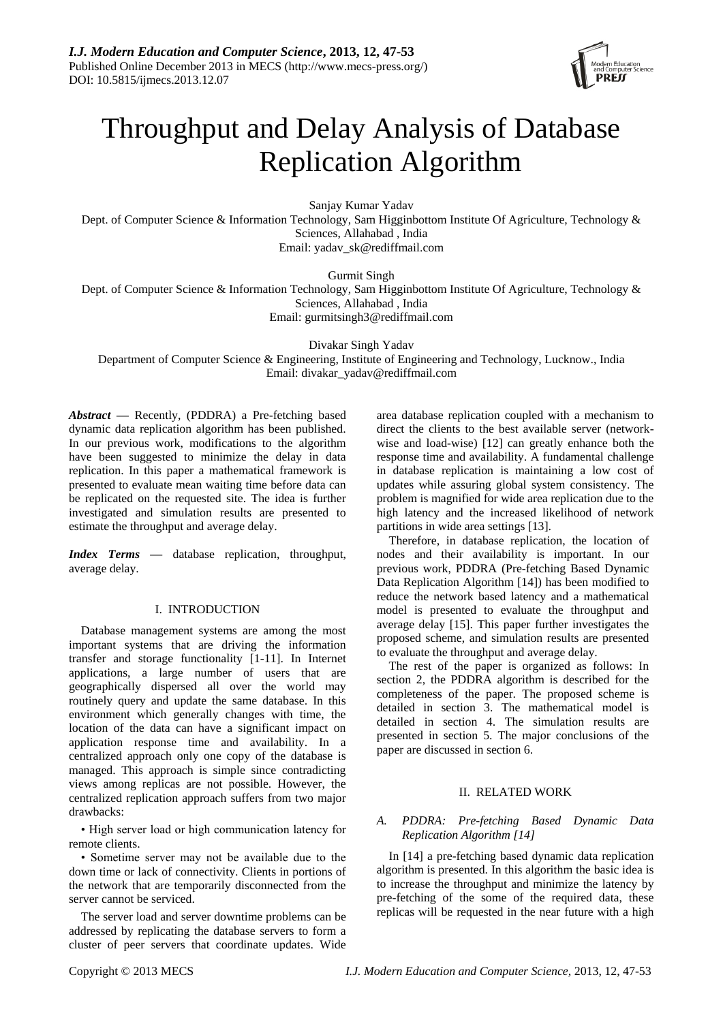

# Throughput and Delay Analysis of Database Replication Algorithm

Sanjay Kumar Yadav Dept. of Computer Science & Information Technology, Sam Higginbottom Institute Of Agriculture, Technology & Sciences, Allahabad , India Email: [yadav\\_sk@rediffmail.com](mailto:yadav_sk@rediffmail.com)

Gurmit Singh

Dept. of Computer Science & Information Technology, Sam Higginbottom Institute Of Agriculture, Technology & Sciences, Allahabad , India Email: [gurmitsingh3@rediffmail.com](mailto:gurmitsingh3@rediffmail.com)

Divakar Singh Yadav

Department of Computer Science & Engineering, Institute of Engineering and Technology, Lucknow., India Email: [divakar\\_yadav@rediffmail.com](mailto:divakar_yadav@rediffmail.com)

*Abstract* **—** Recently, (PDDRA) a Pre-fetching based dynamic data replication algorithm has been published. In our previous work, modifications to the algorithm have been suggested to minimize the delay in data replication. In this paper a mathematical framework is presented to evaluate mean waiting time before data can be replicated on the requested site. The idea is further investigated and simulation results are presented to estimate the throughput and average delay.

*Index Terms* **—** database replication, throughput, average delay.

## I. INTRODUCTION

Database management systems are among the most important systems that are driving the information transfer and storage functionality [1-11]. In Internet applications, a large number of users that are geographically dispersed all over the world may routinely query and update the same database. In this environment which generally changes with time, the location of the data can have a significant impact on application response time and availability. In a centralized approach only one copy of the database is managed. This approach is simple since contradicting views among replicas are not possible. However, the centralized replication approach suffers from two major drawbacks:

• High server load or high communication latency for remote clients.

• Sometime server may not be available due to the down time or lack of connectivity. Clients in portions of the network that are temporarily disconnected from the server cannot be serviced.

The server load and server downtime problems can be addressed by replicating the database servers to form a cluster of peer servers that coordinate updates. Wide

area database replication coupled with a mechanism to direct the clients to the best available server (networkwise and load-wise) [12] can greatly enhance both the response time and availability. A fundamental challenge in database replication is maintaining a low cost of updates while assuring global system consistency. The problem is magnified for wide area replication due to the high latency and the increased likelihood of network partitions in wide area settings [13].

Therefore, in database replication, the location of nodes and their availability is important. In our previous work, PDDRA (Pre-fetching Based Dynamic Data Replication Algorithm [14]) has been modified to reduce the network based latency and a mathematical model is presented to evaluate the throughput and average delay [15]. This paper further investigates the proposed scheme, and simulation results are presented to evaluate the throughput and average delay.

The rest of the paper is organized as follows: In section 2, the PDDRA algorithm is described for the completeness of the paper. The proposed scheme is detailed in section 3. The mathematical model is detailed in section 4. The simulation results are presented in section 5. The major conclusions of the paper are discussed in section 6.

# II. RELATED WORK

# *A. PDDRA: Pre-fetching Based Dynamic Data Replication Algorithm [14]*

In [14] a pre-fetching based dynamic data replication algorithm is presented. In this algorithm the basic idea is to increase the throughput and minimize the latency by pre-fetching of the some of the required data, these replicas will be requested in the near future with a high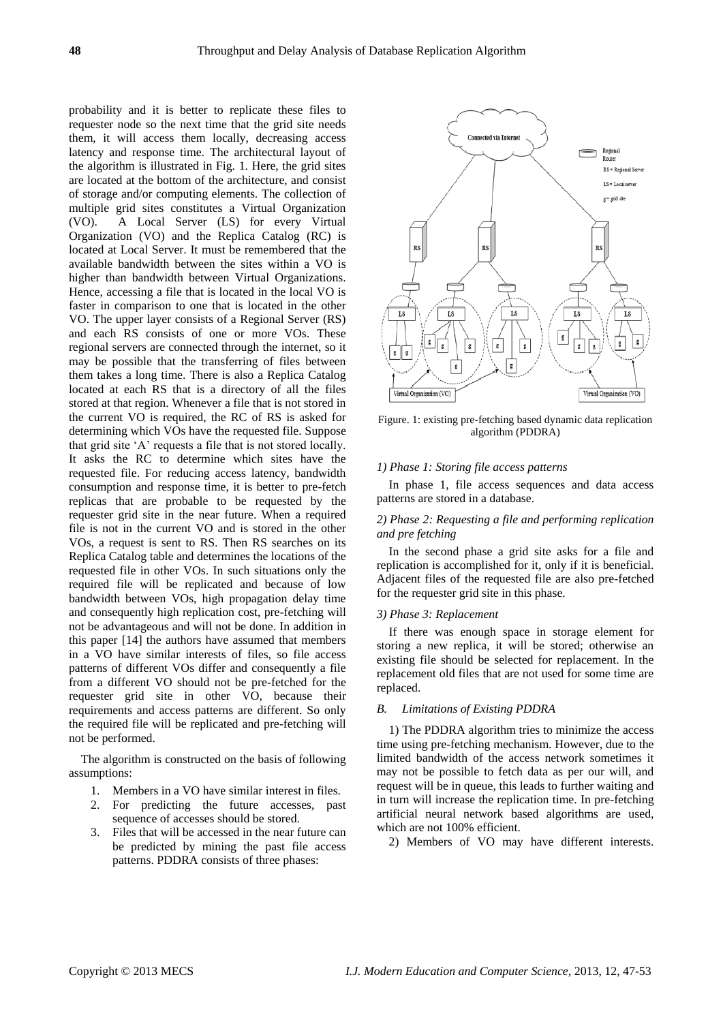probability and it is better to replicate these files to requester node so the next time that the grid site needs them, it will access them locally, decreasing access latency and response time. The architectural layout of the algorithm is illustrated in Fig. 1. Here, the grid sites are located at the bottom of the architecture, and consist of storage and/or computing elements. The collection of multiple grid sites constitutes a Virtual Organization (VO). A Local Server (LS) for every Virtual Organization (VO) and the Replica Catalog (RC) is located at Local Server. It must be remembered that the available bandwidth between the sites within a VO is higher than bandwidth between Virtual Organizations. Hence, accessing a file that is located in the local VO is faster in comparison to one that is located in the other VO. The upper layer consists of a Regional Server (RS) and each RS consists of one or more VOs. These regional servers are connected through the internet, so it may be possible that the transferring of files between them takes a long time. There is also a Replica Catalog located at each RS that is a directory of all the files stored at that region. Whenever a file that is not stored in the current VO is required, the RC of RS is asked for determining which VOs have the requested file. Suppose that grid site "A" requests a file that is not stored locally. It asks the RC to determine which sites have the requested file. For reducing access latency, bandwidth consumption and response time, it is better to pre-fetch replicas that are probable to be requested by the requester grid site in the near future. When a required file is not in the current VO and is stored in the other VOs, a request is sent to RS. Then RS searches on its Replica Catalog table and determines the locations of the requested file in other VOs. In such situations only the required file will be replicated and because of low bandwidth between VOs, high propagation delay time and consequently high replication cost, pre-fetching will not be advantageous and will not be done. In addition in this paper [14] the authors have assumed that members in a VO have similar interests of files, so file access patterns of different VOs differ and consequently a file from a different VO should not be pre-fetched for the requester grid site in other VO, because their requirements and access patterns are different. So only the required file will be replicated and pre-fetching will not be performed.

The algorithm is constructed on the basis of following assumptions:

- 1. Members in a VO have similar interest in files.
- 2. For predicting the future accesses, past sequence of accesses should be stored.
- 3. Files that will be accessed in the near future can be predicted by mining the past file access patterns. PDDRA consists of three phases:



Figure. 1: existing pre-fetching based dynamic data replication algorithm (PDDRA)

#### *1) Phase 1: Storing file access patterns*

In phase 1, file access sequences and data access patterns are stored in a database.

## *2) Phase 2: Requesting a file and performing replication and pre fetching*

In the second phase a grid site asks for a file and replication is accomplished for it, only if it is beneficial. Adjacent files of the requested file are also pre-fetched for the requester grid site in this phase.

## *3) Phase 3: Replacement*

If there was enough space in storage element for storing a new replica, it will be stored; otherwise an existing file should be selected for replacement. In the replacement old files that are not used for some time are replaced.

# *B. Limitations of Existing PDDRA*

1) The PDDRA algorithm tries to minimize the access time using pre-fetching mechanism. However, due to the limited bandwidth of the access network sometimes it may not be possible to fetch data as per our will, and request will be in queue, this leads to further waiting and in turn will increase the replication time. In pre-fetching artificial neural network based algorithms are used, which are not 100% efficient.

2) Members of VO may have different interests.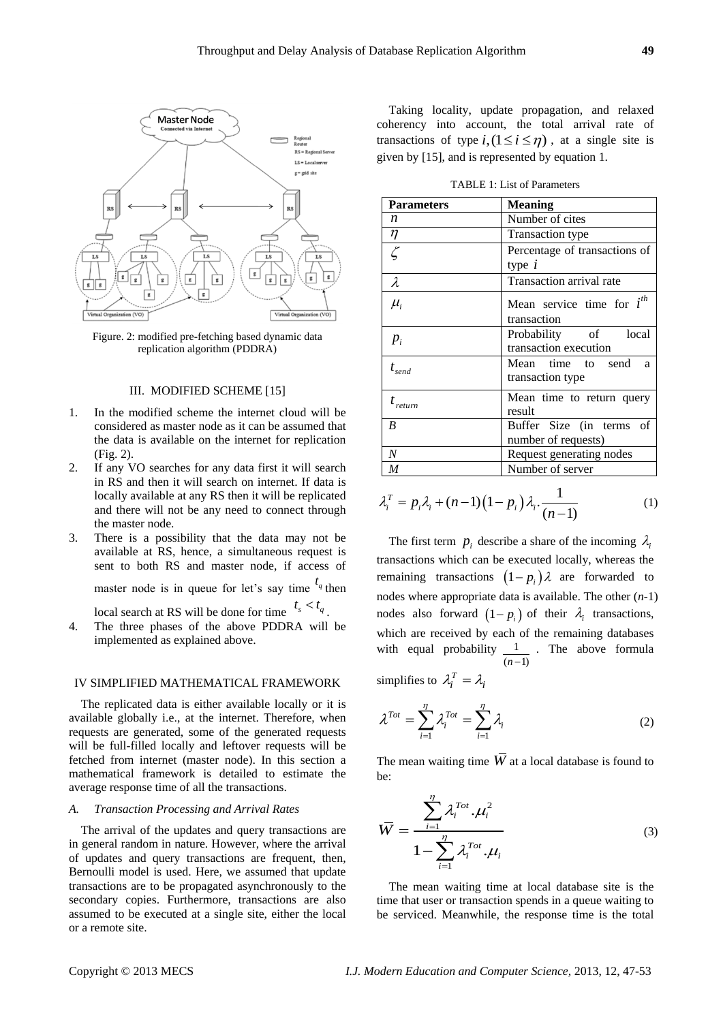

Figure. 2: modified pre-fetching based dynamic data replication algorithm (PDDRA)

#### III. MODIFIED SCHEME [15]

- 1. In the modified scheme the internet cloud will be considered as master node as it can be assumed that the data is available on the internet for replication (Fig. 2).
- 2. If any VO searches for any data first it will search in RS and then it will search on internet. If data is locally available at any RS then it will be replicated and there will not be any need to connect through the master node.
- 3. There is a possibility that the data may not be available at RS, hence, a simultaneous request is sent to both RS and master node, if access of

master node is in queue for let's say time  $t_q$  then

local search at RS will be done for time  $t_s < t_q$ .

4. The three phases of the above PDDRA will be implemented as explained above.

#### IV SIMPLIFIED MATHEMATICAL FRAMEWORK

The replicated data is either available locally or it is available globally i.e., at the internet. Therefore, when requests are generated, some of the generated requests will be full-filled locally and leftover requests will be fetched from internet (master node). In this section a mathematical framework is detailed to estimate the average response time of all the transactions.

#### *A. Transaction Processing and Arrival Rates*

The arrival of the updates and query transactions are in general random in nature. However, where the arrival of updates and query transactions are frequent, then, Bernoulli model is used. Here, we assumed that update transactions are to be propagated asynchronously to the secondary copies. Furthermore, transactions are also assumed to be executed at a single site, either the local or a remote site.

Taking locality, update propagation, and relaxed coherency into account, the total arrival rate of transactions of type  $i$ ,  $(1 \le i \le \eta)$ , at a single site is given by [15], and is represented by equation 1.

| <b>Parameters</b>  | <b>Meaning</b>                 |
|--------------------|--------------------------------|
| n                  | Number of cites                |
| $\eta$             | Transaction type               |
| $\overline{\zeta}$ | Percentage of transactions of  |
|                    | type $i$                       |
| $\lambda$          | Transaction arrival rate       |
| $\mu_i$            | Mean service time for $i^{th}$ |
|                    | transaction                    |
| $p_i$              | Probability of local           |
|                    | transaction execution          |
| $t_{send}$         | Mean time to send<br>a         |
|                    | transaction type               |
| $t_{return}$       | Mean time to return query      |
|                    | result                         |
| B                  | Buffer Size (in terms<br>οf    |
|                    | number of requests)            |
| N                  | Request generating nodes       |
| M                  | Number of server               |

$$
\lambda_i^T = p_i \lambda_i + (n-1)\left(1 - p_i\right) \lambda_i \cdot \frac{1}{(n-1)}\tag{1}
$$

The first term  $p_i$  describe a share of the incoming  $\lambda_i$ transactions which can be executed locally, whereas the remaining transactions  $(1-p_i)\lambda$  are forwarded to nodes where appropriate data is available. The other (*n*-1) nodes also forward  $(1-p_i)$  of their  $\lambda_i$  transactions, which are received by each of the remaining databases with equal probability  $\frac{1}{\sqrt{2}}$  $(n-1)$ . The above formula

simplifies to  $\lambda_i^T = \lambda_i$ 

$$
\lambda^{Tot} = \sum_{i=1}^{\eta} \lambda_i^{Tot} = \sum_{i=1}^{\eta} \lambda_i
$$
 (2)

The mean waiting time  $\overline{W}$  at a local database is found to be:

$$
\overline{W} = \frac{\sum_{i=1}^{n} \lambda_i^{Tot} \cdot \mu_i^2}{1 - \sum_{i=1}^{n} \lambda_i^{Tot} \cdot \mu_i}
$$
(3)

The mean waiting time at local database site is the time that user or transaction spends in a queue waiting to be serviced. Meanwhile, the response time is the total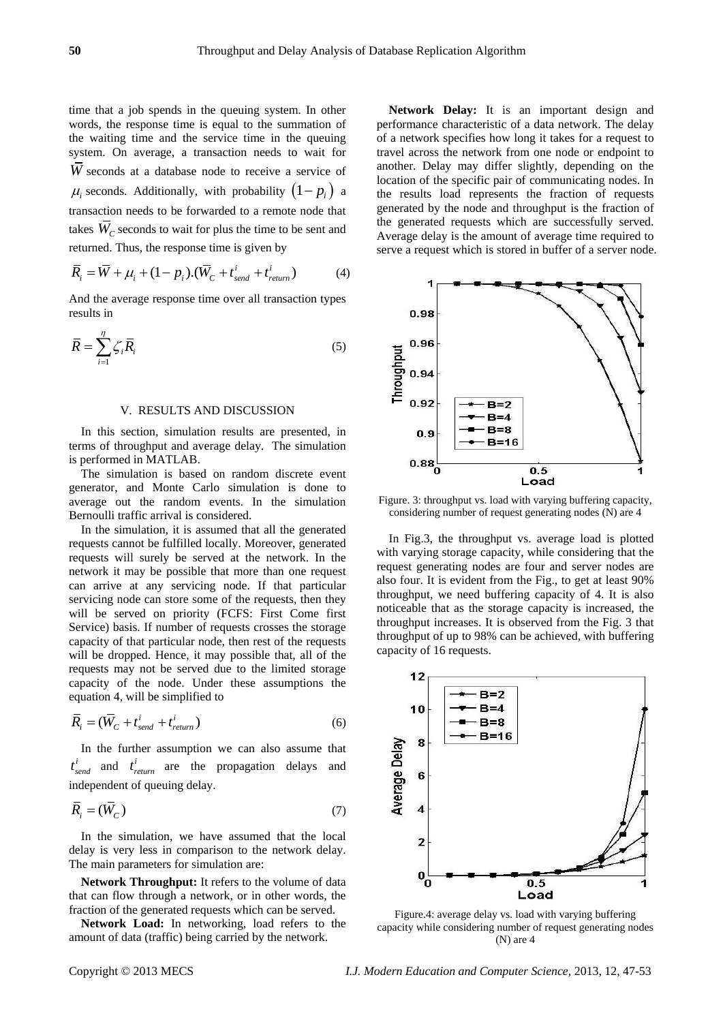time that a job spends in the queuing system. In other words, the response time is equal to the summation of the waiting time and the service time in the queuing system. On average, a transaction needs to wait for *W* seconds at a database node to receive a service of  $\mu_i$  seconds. Additionally, with probability  $(1-p_i)$  a transaction needs to be forwarded to a remote node that takes  $\overline{W}_C$  seconds to wait for plus the time to be sent and

$$
\overline{R}_i = \overline{W} + \mu_i + (1 - p_i).(\overline{W}_C + t_{send}^i + t_{return}^i)
$$
(4)

And the average response time over all transaction types results in

$$
\overline{R} = \sum_{i=1}^{n} \zeta_i \overline{R}_i
$$
 (5)

#### V. RESULTS AND DISCUSSION

In this section, simulation results are presented, in terms of throughput and average delay. The simulation is performed in MATLAB.

The simulation is based on random discrete event generator, and Monte Carlo simulation is done to average out the random events. In the simulation Bernoulli traffic arrival is considered.

In the simulation, it is assumed that all the generated requests cannot be fulfilled locally. Moreover, generated requests will surely be served at the network. In the network it may be possible that more than one request can arrive at any servicing node. If that particular servicing node can store some of the requests, then they will be served on priority (FCFS: First Come first Service) basis. If number of requests crosses the storage capacity of that particular node, then rest of the requests will be dropped. Hence, it may possible that, all of the requests may not be served due to the limited storage capacity of the node. Under these assumptions the equation 4, will be simplified to

$$
\overline{R}_i = (\overline{W}_C + t_{send}^i + t_{return}^i)
$$
\n(6)

In the further assumption we can also assume that  $t_{send}^i$  and  $t_{return}^i$  are the propagation delays and independent of queuing delay.

$$
\overline{R}_i = (\overline{W}_C) \tag{7}
$$

In the simulation, we have assumed that the local delay is very less in comparison to the network delay. The main parameters for simulation are:

**Network Throughput:** It refers to the volume of data that can flow through a network, or in other words, the fraction of the generated requests which can be served.

**Network Load:** In networking, load refers to the amount of data (traffic) being carried by the network.

**Network Delay:** It is an important design and performance characteristic of a data network. The delay of a network specifies how long it takes for a request to travel across the network from one node or endpoint to another. Delay may differ slightly, depending on the location of the specific pair of communicating nodes. In the results load represents the fraction of requests generated by the node and throughput is the fraction of the generated requests which are successfully served. Average delay is the amount of average time required to serve a request which is stored in buffer of a server node.



Figure. 3: throughput vs. load with varying buffering capacity, considering number of request generating nodes (N) are 4

In Fig.3, the throughput vs. average load is plotted with varying storage capacity, while considering that the request generating nodes are four and server nodes are also four. It is evident from the Fig., to get at least 90% throughput, we need buffering capacity of 4. It is also noticeable that as the storage capacity is increased, the throughput increases. It is observed from the Fig. 3 that throughput of up to 98% can be achieved, with buffering capacity of 16 requests.



Figure.4: average delay vs. load with varying buffering capacity while considering number of request generating nodes (N) are 4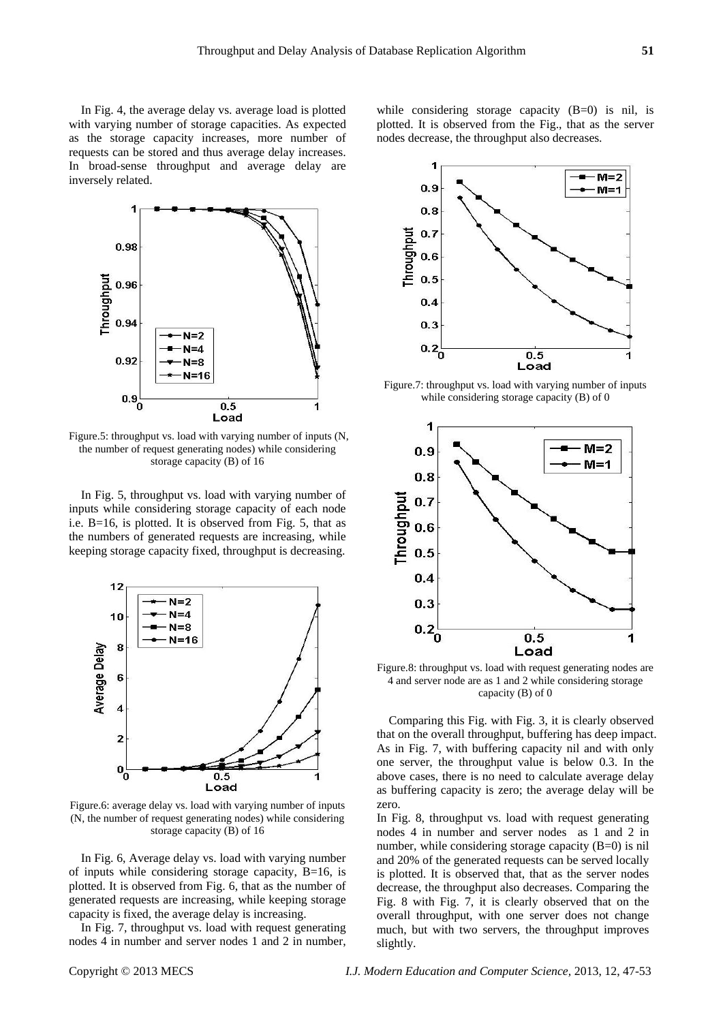In Fig. 4, the average delay vs. average load is plotted with varying number of storage capacities. As expected as the storage capacity increases, more number of requests can be stored and thus average delay increases. In broad-sense throughput and average delay are inversely related.



Figure.5: throughput vs. load with varying number of inputs (N, the number of request generating nodes) while considering storage capacity (B) of 16

In Fig. 5, throughput vs. load with varying number of inputs while considering storage capacity of each node i.e. B=16, is plotted. It is observed from Fig. 5, that as the numbers of generated requests are increasing, while keeping storage capacity fixed, throughput is decreasing.



Figure.6: average delay vs. load with varying number of inputs (N, the number of request generating nodes) while considering storage capacity (B) of 16

In Fig. 6, Average delay vs. load with varying number of inputs while considering storage capacity,  $B=16$ , is plotted. It is observed from Fig. 6, that as the number of generated requests are increasing, while keeping storage capacity is fixed, the average delay is increasing.

In Fig. 7, throughput vs. load with request generating nodes 4 in number and server nodes 1 and 2 in number,

while considering storage capacity (B=0) is nil, is plotted. It is observed from the Fig., that as the server nodes decrease, the throughput also decreases.



Figure.7: throughput vs. load with varying number of inputs while considering storage capacity (B) of 0



Figure.8: throughput vs. load with request generating nodes are 4 and server node are as 1 and 2 while considering storage capacity (B) of 0

Comparing this Fig. with Fig. 3, it is clearly observed that on the overall throughput, buffering has deep impact. As in Fig. 7, with buffering capacity nil and with only one server, the throughput value is below 0.3. In the above cases, there is no need to calculate average delay as buffering capacity is zero; the average delay will be zero.

In Fig. 8, throughput vs. load with request generating nodes 4 in number and server nodes as 1 and 2 in number, while considering storage capacity (B=0) is nil and 20% of the generated requests can be served locally is plotted. It is observed that, that as the server nodes decrease, the throughput also decreases. Comparing the Fig. 8 with Fig. 7, it is clearly observed that on the overall throughput, with one server does not change much, but with two servers, the throughput improves slightly.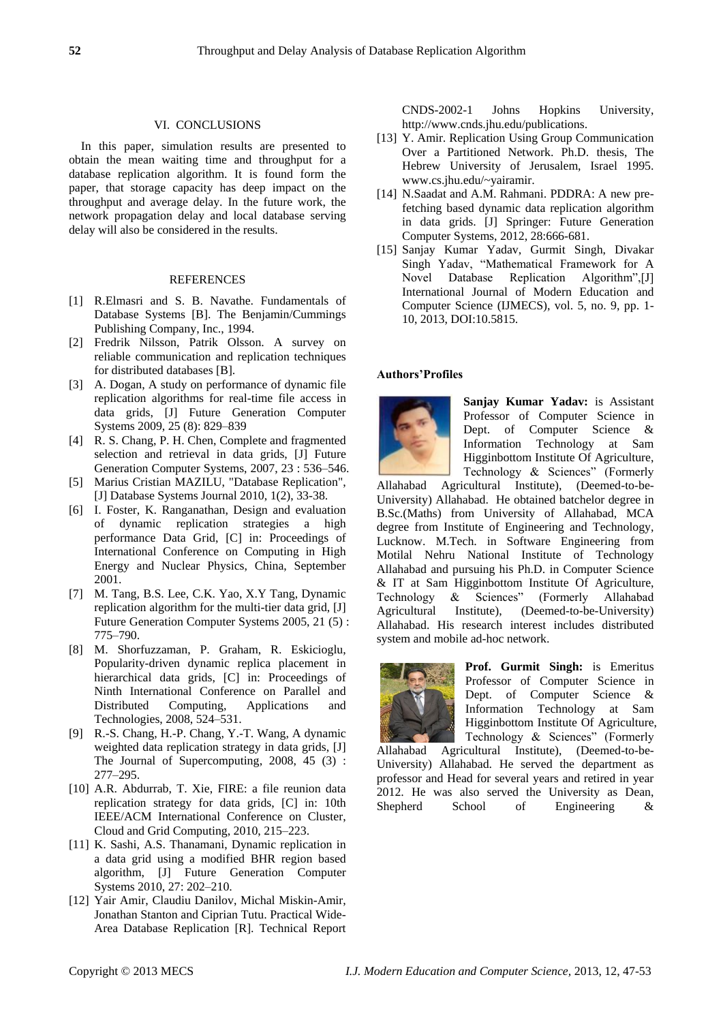#### VI. CONCLUSIONS

In this paper, simulation results are presented to obtain the mean waiting time and throughput for a database replication algorithm. It is found form the paper, that storage capacity has deep impact on the throughput and average delay. In the future work, the network propagation delay and local database serving delay will also be considered in the results.

#### REFERENCES

- [1] R.Elmasri and S. B. Navathe. Fundamentals of Database Systems [B]. The Benjamin/Cummings Publishing Company, Inc., 1994.
- [2] Fredrik Nilsson, Patrik Olsson. A survey on reliable communication and replication techniques for distributed databases [B].
- [3] A. Dogan, A study on performance of dynamic file replication algorithms for real-time file access in data grids, [J] Future Generation Computer Systems 2009, 25 (8): 829–839
- [4] R. S. Chang, P. H. Chen, Complete and fragmented selection and retrieval in data grids, [J] Future Generation Computer Systems, 2007, 23 : 536–546.
- [5] Marius Cristian MAZILU, "Database Replication", [J] Database Systems Journal 2010, 1(2), 33-38.
- [6] I. Foster, K. Ranganathan, Design and evaluation of dynamic replication strategies a high performance Data Grid, [C] in: Proceedings of International Conference on Computing in High Energy and Nuclear Physics, China, September 2001.
- [7] M. Tang, B.S. Lee, C.K. Yao, X.Y Tang, Dynamic replication algorithm for the multi-tier data grid, [J] Future Generation Computer Systems 2005, 21 (5) : 775–790.
- [8] M. Shorfuzzaman, P. Graham, R. Eskicioglu, Popularity-driven dynamic replica placement in hierarchical data grids, [C] in: Proceedings of Ninth International Conference on Parallel and Distributed Computing, Applications and Technologies, 2008, 524–531.
- [9] R.-S. Chang, H.-P. Chang, Y.-T. Wang, A dynamic weighted data replication strategy in data grids, [J] The Journal of Supercomputing, 2008, 45 (3) : 277–295.
- [10] A.R. Abdurrab, T. Xie, FIRE: a file reunion data replication strategy for data grids, [C] in: 10th IEEE/ACM International Conference on Cluster, Cloud and Grid Computing, 2010, 215–223.
- [11] K. Sashi, A.S. Thanamani, Dynamic replication in a data grid using a modified BHR region based algorithm, [J] Future Generation Computer Systems 2010, 27: 202–210.
- [12] Yair Amir, Claudiu Danilov, Michal Miskin-Amir, Jonathan Stanton and Ciprian Tutu. Practical Wide-Area Database Replication [R]. Technical Report

CNDS-2002-1 Johns Hopkins University, [http://www.cnds.jhu.edu/publications.](http://www.cnds.jhu.edu/publications)

- [13] Y. Amir. Replication Using Group Communication Over a Partitioned Network. Ph.D. thesis, The Hebrew University of Jerusalem, Israel 1995. [www.cs.jhu.edu/~yairamir.](http://www.cs.jhu.edu/~yairamir)
- [14] N.Saadat and A.M. Rahmani. PDDRA: A new prefetching based dynamic data replication algorithm in data grids. [J] Springer: Future Generation Computer Systems, 2012, 28:666-681.
- [15] Sanjay Kumar Yadav, Gurmit Singh, Divakar Singh Yadav, "Mathematical Framework for A Novel Database Replication Algorithm",[J] International Journal of Modern Education and Computer Science (IJMECS), vol. 5, no. 9, pp. 1- 10, 2013, DOI:10.5815.

### **Authors'Profiles**



**Sanjay Kumar Yadav:** is Assistant Professor of Computer Science in Dept. of Computer Science & Information Technology at Sam Higginbottom Institute Of Agriculture, Technology & Sciences" (Formerly

Allahabad Agricultural Institute), (Deemed-to-be-University) Allahabad. He obtained batchelor degree in B.Sc.(Maths) from University of Allahabad, MCA degree from Institute of Engineering and Technology, Lucknow. M.Tech. in Software Engineering from Motilal Nehru National Institute of Technology Allahabad and pursuing his Ph.D. in Computer Science & IT at Sam Higginbottom Institute Of Agriculture, Technology & Sciences" (Formerly Allahabad Agricultural Institute), (Deemed-to-be-University) Allahabad. His research interest includes distributed system and mobile ad-hoc network.



**Prof. Gurmit Singh:** is Emeritus Professor of Computer Science in Dept. of Computer Science & Information Technology at Sam Higginbottom Institute Of Agriculture, Technology & Sciences" (Formerly

Allahabad Agricultural Institute), (Deemed-to-be-University) Allahabad. He served the department as professor and Head for several years and retired in year 2012. He was also served the University as Dean, [Shepherd School of Engineering &](http://shiatsmail.edu.in/webwapp/faculty/Colleges/coll_EnggTech.asp)